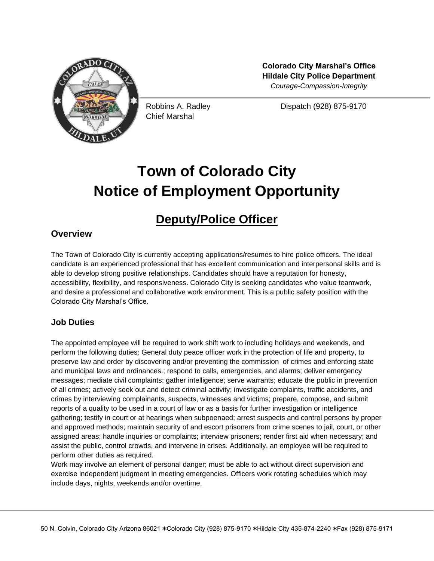

Chief Marshal

**Colorado City Marshal's Office Hildale City Police Department** *Courage-Compassion-Integrity*

Robbins A. Radley Dispatch (928) 875-9170

# **Town of Colorado City Notice of Employment Opportunity**

# **Deputy/Police Officer**

# **Overview**

The Town of Colorado City is currently accepting applications/resumes to hire police officers. The ideal candidate is an experienced professional that has excellent communication and interpersonal skills and is able to develop strong positive relationships. Candidates should have a reputation for honesty, accessibility, flexibility, and responsiveness. Colorado City is seeking candidates who value teamwork, and desire a professional and collaborative work environment. This is a public safety position with the Colorado City Marshal's Office.

## **Job Duties**

The appointed employee will be required to work shift work to including holidays and weekends, and perform the following duties: General duty peace officer work in the protection of life and property, to preserve law and order by discovering and/or preventing the commission of crimes and enforcing state and municipal laws and ordinances.; respond to calls, emergencies, and alarms; deliver emergency messages; mediate civil complaints; gather intelligence; serve warrants; educate the public in prevention of all crimes; actively seek out and detect criminal activity; investigate complaints, traffic accidents, and crimes by interviewing complainants, suspects, witnesses and victims; prepare, compose, and submit reports of a quality to be used in a court of law or as a basis for further investigation or intelligence gathering; testify in court or at hearings when subpoenaed; arrest suspects and control persons by proper and approved methods; maintain security of and escort prisoners from crime scenes to jail, court, or other assigned areas; handle inquiries or complaints; interview prisoners; render first aid when necessary; and assist the public, control crowds, and intervene in crises. Additionally, an employee will be required to perform other duties as required.

Work may involve an element of personal danger; must be able to act without direct supervision and exercise independent judgment in meeting emergencies. Officers work rotating schedules which may include days, nights, weekends and/or overtime.